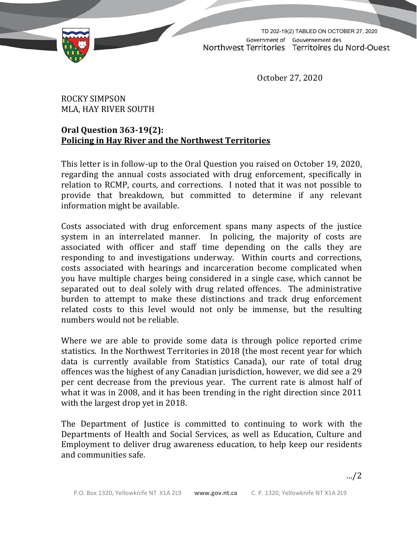

TD 202-19(2) TABLED ON OCTOBER 27, 2020Government of Gouvernement des Northwest Territories Territoires du Nord-Ouest

October 27, 2020

## ROCKY SIMPSON MLA, HAY RIVER SOUTH

## **Oral Question 363-19(2): Policing in Hay River and the Northwest Territories**

This letter is in follow-up to the Oral Question you raised on October 19, 2020, regarding the annual costs associated with drug enforcement, specifically in relation to RCMP, courts, and corrections. I noted that it was not possible to provide that breakdown, but committed to determine if any relevant information might be available.

Costs associated with drug enforcement spans many aspects of the justice system in an interrelated manner. In policing, the majority of costs are associated with officer and staff time depending on the calls they are responding to and investigations underway. Within courts and corrections, costs associated with hearings and incarceration become complicated when you have multiple charges being considered in a single case, which cannot be separated out to deal solely with drug related offences. The administrative burden to attempt to make these distinctions and track drug enforcement related costs to this level would not only be immense, but the resulting numbers would not be reliable.

Where we are able to provide some data is through police reported crime statistics. In the Northwest Territories in 2018 (the most recent year for which data is currently available from Statistics Canada), our rate of total drug offences was the highest of any Canadian jurisdiction, however, we did see a 29 per cent decrease from the previous year. The current rate is almost half of what it was in 2008, and it has been trending in the right direction since 2011 with the largest drop yet in 2018.

The Department of Justice is committed to continuing to work with the Departments of Health and Social Services, as well as Education, Culture and Employment to deliver drug awareness education, to help keep our residents and communities safe.

…/2